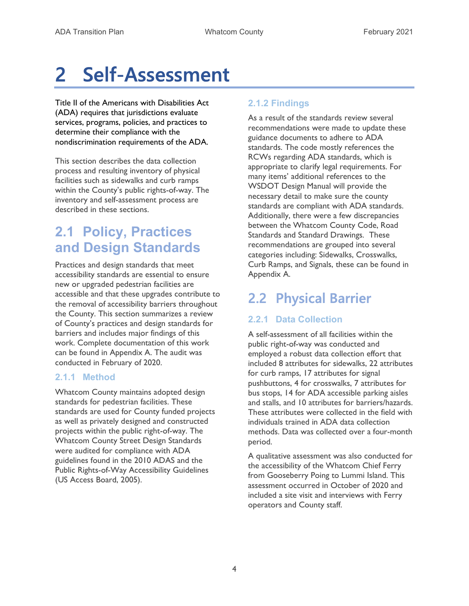# 2 Self-Assessment

Title II of the Americans with Disabilities Act (ADA) requires that jurisdictions evaluate services, programs, policies, and practices to determine their compliance with the nondiscrimination requirements of the ADA.

This section describes the data collection process and resulting inventory of physical facilities such as sidewalks and curb ramps within the County's public rights-of-way. The inventory and self-assessment process are described in these sections.

# 2.1 Policy, Practices and Design Standards

Practices and design standards that meet accessibility standards are essential to ensure new or upgraded pedestrian facilities are accessible and that these upgrades contribute to the removal of accessibility barriers throughout the County. This section summarizes a review of County's practices and design standards for barriers and includes major findings of this work. Complete documentation of this work can be found in Appendix A. The audit was conducted in February of 2020.

### 2.1.1 Method

Whatcom County maintains adopted design standards for pedestrian facilities. These standards are used for County funded projects as well as privately designed and constructed projects within the public right-of-way. The Whatcom County Street Design Standards were audited for compliance with ADA guidelines found in the 2010 ADAS and the Public Rights-of-Way Accessibility Guidelines (US Access Board, 2005).

### 2.1.2 Findings

As a result of the standards review several recommendations were made to update these guidance documents to adhere to ADA standards. The code mostly references the RCWs regarding ADA standards, which is appropriate to clarify legal requirements. For many items' additional references to the WSDOT Design Manual will provide the necessary detail to make sure the county standards are compliant with ADA standards. Additionally, there were a few discrepancies between the Whatcom County Code, Road Standards and Standard Drawings. These recommendations are grouped into several categories including: Sidewalks, Crosswalks, Curb Ramps, and Signals, these can be found in Appendix A.

# 2.2 Physical Barrier

### 2.2.1 Data Collection

A self-assessment of all facilities within the public right-of-way was conducted and employed a robust data collection effort that included 8 attributes for sidewalks, 22 attributes for curb ramps, 17 attributes for signal pushbuttons, 4 for crosswalks, 7 attributes for bus stops, 14 for ADA accessible parking aisles and stalls, and 10 attributes for barriers/hazards. These attributes were collected in the field with individuals trained in ADA data collection methods. Data was collected over a four-month period.

A qualitative assessment was also conducted for the accessibility of the Whatcom Chief Ferry from Gooseberry Poing to Lummi Island. This assessment occurred in October of 2020 and included a site visit and interviews with Ferry operators and County staff.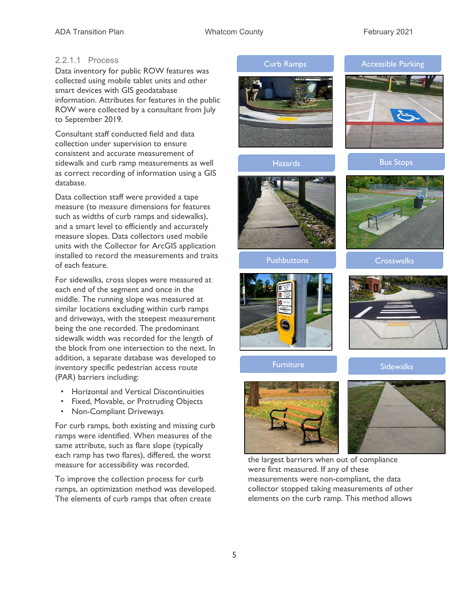#### 2.2.1.1 Process

Data inventory for public ROW features was collected using mobile tablet units and other smart devices with GIS geodatabase information. Attributes for features in the public ROW were collected by a consultant from July to September 2019.

Consultant staff conducted field and data collection under supervision to ensure consistent and accurate measurement of sidewalk and curb ramp measurements as well as correct recording of information using a GIS database.

Data collection staff were provided a tape measure (to measure dimensions for features such as widths of curb ramps and sidewalks), and a smart level to efficiently and accurately measure slopes. Data collectors used mobile units with the Collector for ArcGIS application installed to record the measurements and traits of each feature.

For sidewalks, cross slopes were measured at each end of the segment and once in the middle. The running slope was measured at similar locations excluding within curb ramps and driveways, with the steepest measurement being the one recorded. The predominant sidewalk width was recorded for the length of the block from one intersection to the next. In addition, a separate database was developed to inventory specific pedestrian access route (PAR) barriers including:

- Horizontal and Vertical Discontinuities
- Fixed, Movable, or Protruding Objects
- Non-Compliant Driveways

For curb ramps, both existing and missing curb ramps were identified. When measures of the same attribute, such as flare slope (typically each ramp has two flares), differed, the worst measure for accessibility was recorded.

To improve the collection process for curb ramps, an optimization method was developed. The elements of curb ramps that often create





Hazards Bus Stops

 $R^2$ 





#### **Furniture**



**Sidewalks** 





the largest barriers when out of compliance were first measured. If any of these measurements were non-compliant, the data collector stopped taking measurements of other elements on the curb ramp. This method allows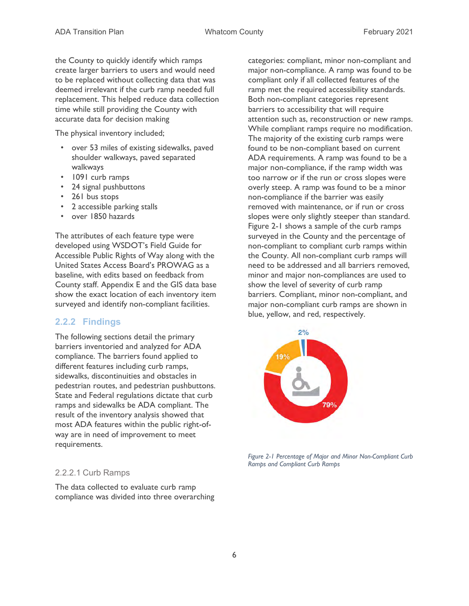the County to quickly identify which ramps create larger barriers to users and would need to be replaced without collecting data that was deemed irrelevant if the curb ramp needed full replacement. This helped reduce data collection time while still providing the County with accurate data for decision making

The physical inventory included;

- over 53 miles of existing sidewalks, paved shoulder walkways, paved separated walkways
- 1091 curb ramps
- 24 signal pushbuttons
- 261 bus stops
- 2 accessible parking stalls
- over 1850 hazards

The attributes of each feature type were developed using WSDOT's Field Guide for Accessible Public Rights of Way along with the United States Access Board's PROWAG as a baseline, with edits based on feedback from County staff. Appendix E and the GIS data base show the exact location of each inventory item surveyed and identify non-compliant facilities.

#### 2.2.2 Findings

The following sections detail the primary barriers inventoried and analyzed for ADA compliance. The barriers found applied to different features including curb ramps, sidewalks, discontinuities and obstacles in pedestrian routes, and pedestrian pushbuttons. State and Federal regulations dictate that curb ramps and sidewalks be ADA compliant. The result of the inventory analysis showed that most ADA features within the public right-ofway are in need of improvement to meet requirements.

#### 2.2.2.1 Curb Ramps

The data collected to evaluate curb ramp compliance was divided into three overarching categories: compliant, minor non-compliant and major non-compliance. A ramp was found to be compliant only if all collected features of the ramp met the required accessibility standards. Both non-compliant categories represent barriers to accessibility that will require attention such as, reconstruction or new ramps. While compliant ramps require no modification. The majority of the existing curb ramps were found to be non-compliant based on current ADA requirements. A ramp was found to be a major non-compliance, if the ramp width was too narrow or if the run or cross slopes were overly steep. A ramp was found to be a minor non-compliance if the barrier was easily removed with maintenance, or if run or cross slopes were only slightly steeper than standard. Figure 2-1 shows a sample of the curb ramps surveyed in the County and the percentage of non-compliant to compliant curb ramps within the County. All non-compliant curb ramps will need to be addressed and all barriers removed, minor and major non-compliances are used to show the level of severity of curb ramp barriers. Compliant, minor non-compliant, and major non-compliant curb ramps are shown in blue, yellow, and red, respectively.



Figure 2-1 Percentage of Major and Minor Non-Compliant Curb Ramps and Compliant Curb Ramps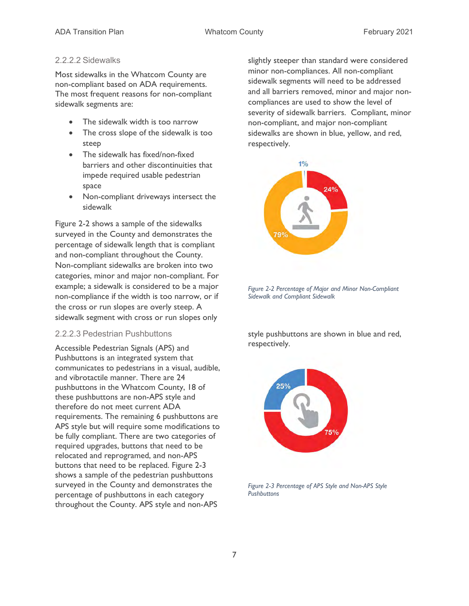#### 2.2.2.2 Sidewalks

Most sidewalks in the Whatcom County are non-compliant based on ADA requirements. The most frequent reasons for non-compliant sidewalk segments are:

- The sidewalk width is too narrow
- The cross slope of the sidewalk is too steep
- The sidewalk has fixed/non-fixed barriers and other discontinuities that impede required usable pedestrian space
- Non-compliant driveways intersect the sidewalk

Figure 2-2 shows a sample of the sidewalks surveyed in the County and demonstrates the percentage of sidewalk length that is compliant and non-compliant throughout the County. Non-compliant sidewalks are broken into two categories, minor and major non-compliant. For example; a sidewalk is considered to be a major non-compliance if the width is too narrow, or if the cross or run slopes are overly steep. A sidewalk segment with cross or run slopes only

#### 2.2.2.3 Pedestrian Pushbuttons

Accessible Pedestrian Signals (APS) and Pushbuttons is an integrated system that communicates to pedestrians in a visual, audible, and vibrotactile manner. There are 24 pushbuttons in the Whatcom County, 18 of these pushbuttons are non-APS style and therefore do not meet current ADA requirements. The remaining 6 pushbuttons are APS style but will require some modifications to be fully compliant. There are two categories of required upgrades, buttons that need to be relocated and reprogramed, and non-APS buttons that need to be replaced. Figure 2-3 shows a sample of the pedestrian pushbuttons surveyed in the County and demonstrates the percentage of pushbuttons in each category throughout the County. APS style and non-APS

slightly steeper than standard were considered minor non-compliances. All non-compliant sidewalk segments will need to be addressed and all barriers removed, minor and major noncompliances are used to show the level of severity of sidewalk barriers. Compliant, minor non-compliant, and major non-compliant sidewalks are shown in blue, yellow, and red, respectively.



Figure 2-2 Percentage of Major and Minor Non-Compliant Sidewalk and Compliant Sidewalk

style pushbuttons are shown in blue and red, respectively.



Figure 2-3 Percentage of APS Style and Non-APS Style **Pushbuttons**